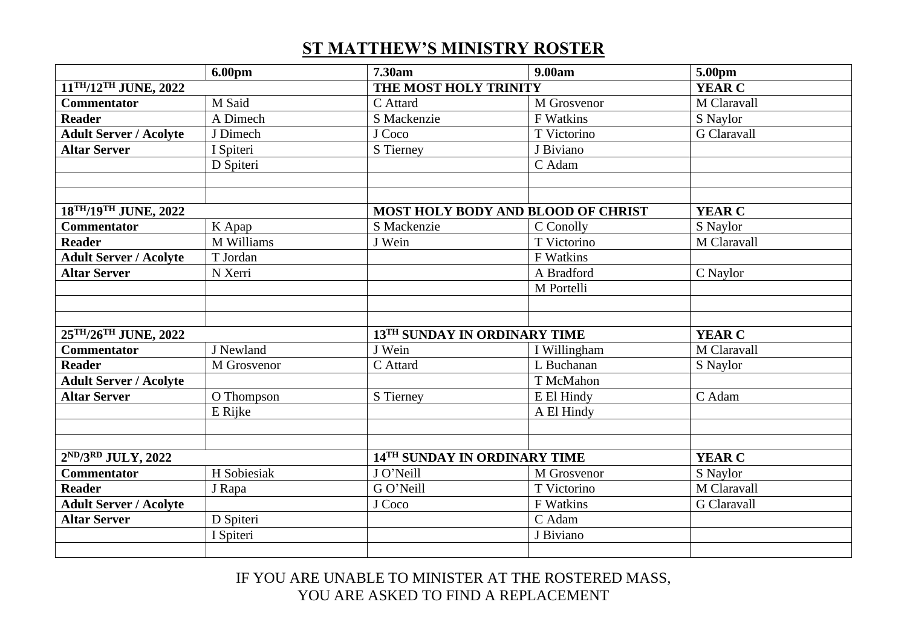## **ST MATTHEW'S MINISTRY ROSTER**

|                                               | 6.00 <sub>pm</sub> | 7.30am                                    | 9.00am       | 5.00pm        |
|-----------------------------------------------|--------------------|-------------------------------------------|--------------|---------------|
| 11TH/12TH JUNE, 2022                          |                    | THE MOST HOLY TRINITY                     |              | <b>YEAR C</b> |
| <b>Commentator</b>                            | M Said             | C Attard                                  | M Grosvenor  | M Claravall   |
| <b>Reader</b>                                 | A Dimech           | S Mackenzie                               | F Watkins    | S Naylor      |
| <b>Adult Server / Acolyte</b>                 | J Dimech           | J Coco                                    | T Victorino  | G Claravall   |
| <b>Altar Server</b>                           | I Spiteri          | S Tierney                                 | J Biviano    |               |
|                                               | D Spiteri          |                                           | C Adam       |               |
|                                               |                    |                                           |              |               |
|                                               |                    |                                           |              |               |
| 18 <sup>TH</sup> /19 <sup>TH</sup> JUNE, 2022 |                    | <b>MOST HOLY BODY AND BLOOD OF CHRIST</b> |              | <b>YEAR C</b> |
| <b>Commentator</b>                            | K Apap             | S Mackenzie                               | C Conolly    | S Naylor      |
| <b>Reader</b>                                 | M Williams         | J Wein                                    | T Victorino  | M Claravall   |
| <b>Adult Server / Acolyte</b>                 | T Jordan           |                                           | F Watkins    |               |
| <b>Altar Server</b>                           | N Xerri            |                                           | A Bradford   | C Naylor      |
|                                               |                    |                                           | M Portelli   |               |
|                                               |                    |                                           |              |               |
|                                               |                    |                                           |              |               |
| 25TH/26TH JUNE, 2022                          |                    | 13TH SUNDAY IN ORDINARY TIME              |              | <b>YEAR C</b> |
| <b>Commentator</b>                            | J Newland          | J Wein                                    | I Willingham | M Claravall   |
| <b>Reader</b>                                 | M Grosvenor        | C Attard                                  | L Buchanan   | S Naylor      |
| <b>Adult Server / Acolyte</b>                 |                    |                                           | T McMahon    |               |
| <b>Altar Server</b>                           | O Thompson         | S Tierney                                 | E El Hindy   | C Adam        |
|                                               | E Rijke            |                                           | A El Hindy   |               |
|                                               |                    |                                           |              |               |
|                                               |                    |                                           |              |               |
| $2^{ND}/3^{RD}$ JULY, 2022                    |                    | 14TH SUNDAY IN ORDINARY TIME              |              | <b>YEAR C</b> |
| <b>Commentator</b>                            | H Sobiesiak        | J O'Neill                                 | M Grosvenor  | S Naylor      |
| <b>Reader</b>                                 | J Rapa             | G O'Neill                                 | T Victorino  | M Claravall   |
| <b>Adult Server / Acolyte</b>                 |                    | J Coco                                    | F Watkins    | G Claravall   |
| <b>Altar Server</b>                           | D Spiteri          |                                           | C Adam       |               |
|                                               | I Spiteri          |                                           | J Biviano    |               |
|                                               |                    |                                           |              |               |

IF YOU ARE UNABLE TO MINISTER AT THE ROSTERED MASS, YOU ARE ASKED TO FIND A REPLACEMENT